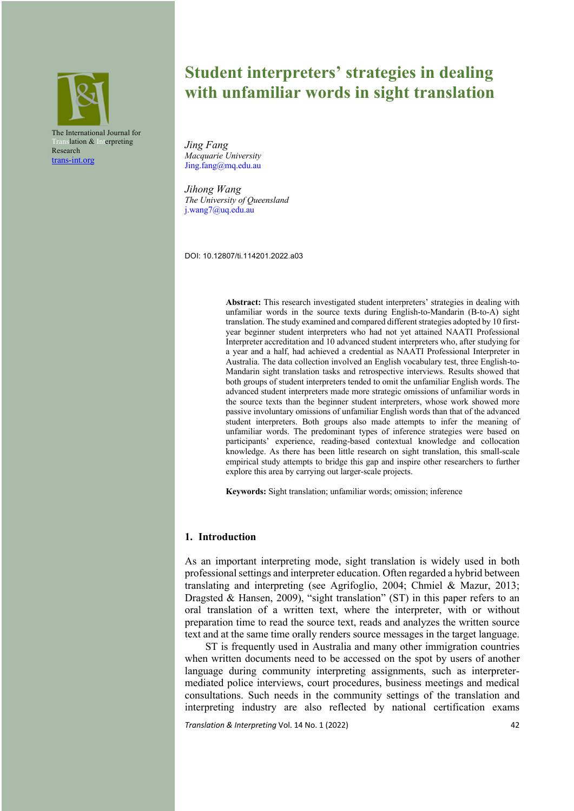

# **Student interpreters' strategies in dealing with unfamiliar words in sight translation**

*Jing Fang Macquarie University* Jing.fang@mq.edu.au

*Jihong Wang The University of Queensland* j.wang7@uq.edu.au

DOI: 10.12807/ti.114201.2022.a03

**Abstract:** This research investigated student interpreters' strategies in dealing with unfamiliar words in the source texts during English-to-Mandarin (B-to-A) sight translation. The study examined and compared different strategies adopted by 10 firstyear beginner student interpreters who had not yet attained NAATI Professional Interpreter accreditation and 10 advanced student interpreters who, after studying for a year and a half, had achieved a credential as NAATI Professional Interpreter in Australia. The data collection involved an English vocabulary test, three English-to-Mandarin sight translation tasks and retrospective interviews. Results showed that both groups of student interpreters tended to omit the unfamiliar English words. The advanced student interpreters made more strategic omissions of unfamiliar words in the source texts than the beginner student interpreters, whose work showed more passive involuntary omissions of unfamiliar English words than that of the advanced student interpreters. Both groups also made attempts to infer the meaning of unfamiliar words. The predominant types of inference strategies were based on participants' experience, reading-based contextual knowledge and collocation knowledge. As there has been little research on sight translation, this small-scale empirical study attempts to bridge this gap and inspire other researchers to further explore this area by carrying out larger-scale projects.

**Keywords:** Sight translation; unfamiliar words; omission; inference

## **1. Introduction**

As an important interpreting mode, sight translation is widely used in both professional settings and interpreter education. Often regarded a hybrid between translating and interpreting (see Agrifoglio, 2004; Chmiel & Mazur, 2013; Dragsted & Hansen, 2009), "sight translation" (ST) in this paper refers to an oral translation of a written text, where the interpreter, with or without preparation time to read the source text, reads and analyzes the written source text and at the same time orally renders source messages in the target language.

ST is frequently used in Australia and many other immigration countries when written documents need to be accessed on the spot by users of another language during community interpreting assignments, such as interpretermediated police interviews, court procedures, business meetings and medical consultations. Such needs in the community settings of the translation and interpreting industry are also reflected by national certification exams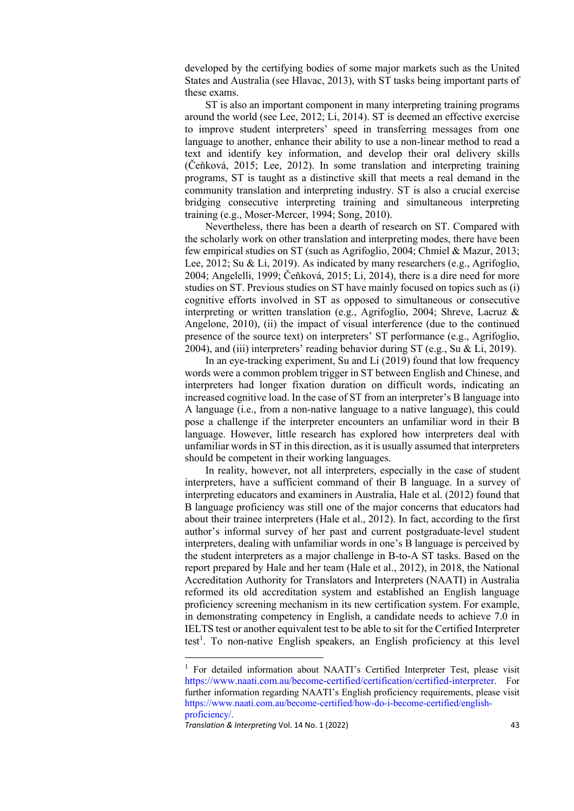developed by the certifying bodies of some major markets such as the United States and Australia (see Hlavac, 2013), with ST tasks being important parts of these exams.

ST is also an important component in many interpreting training programs around the world (see Lee, 2012; Li, 2014). ST is deemed an effective exercise to improve student interpreters' speed in transferring messages from one language to another, enhance their ability to use a non-linear method to read a text and identify key information, and develop their oral delivery skills (Čeňková, 2015; Lee, 2012). In some translation and interpreting training programs, ST is taught as a distinctive skill that meets a real demand in the community translation and interpreting industry. ST is also a crucial exercise bridging consecutive interpreting training and simultaneous interpreting training (e.g., Moser-Mercer, 1994; Song, 2010).

Nevertheless, there has been a dearth of research on ST. Compared with the scholarly work on other translation and interpreting modes, there have been few empirical studies on ST (such as Agrifoglio, 2004; Chmiel & Mazur, 2013; Lee, 2012; Su & Li, 2019). As indicated by many researchers (e.g., Agrifoglio, 2004; Angelelli, 1999; Čeňková, 2015; Li, 2014), there is a dire need for more studies on ST. Previous studies on ST have mainly focused on topics such as (i) cognitive efforts involved in ST as opposed to simultaneous or consecutive interpreting or written translation (e.g., Agrifoglio, 2004; Shreve, Lacruz & Angelone, 2010), (ii) the impact of visual interference (due to the continued presence of the source text) on interpreters' ST performance (e.g., Agrifoglio, 2004), and (iii) interpreters' reading behavior during ST (e.g., Su & Li, 2019).

In an eye-tracking experiment, Su and Li (2019) found that low frequency words were a common problem trigger in ST between English and Chinese, and interpreters had longer fixation duration on difficult words, indicating an increased cognitive load. In the case of ST from an interpreter's B language into A language (i.e., from a non-native language to a native language), this could pose a challenge if the interpreter encounters an unfamiliar word in their B language. However, little research has explored how interpreters deal with unfamiliar words in ST in this direction, as it is usually assumed that interpreters should be competent in their working languages.

In reality, however, not all interpreters, especially in the case of student interpreters, have a sufficient command of their B language. In a survey of interpreting educators and examiners in Australia, Hale et al. (2012) found that B language proficiency was still one of the major concerns that educators had about their trainee interpreters (Hale et al., 2012). In fact, according to the first author's informal survey of her past and current postgraduate-level student interpreters, dealing with unfamiliar words in one's B language is perceived by the student interpreters as a major challenge in B-to-A ST tasks. Based on the report prepared by Hale and her team (Hale et al., 2012), in 2018, the National Accreditation Authority for Translators and Interpreters (NAATI) in Australia reformed its old accreditation system and established an English language proficiency screening mechanism in its new certification system. For example, in demonstrating competency in English, a candidate needs to achieve 7.0 in IELTS test or another equivalent test to be able to sit for the Certified Interpreter test<sup>1</sup>. To non-native English speakers, an English proficiency at this level

<sup>&</sup>lt;sup>1</sup> For detailed information about NAATI's Certified Interpreter Test, please visit https://www.naati.com.au/become-certified/certification/certified-interpreter. For further information regarding NAATI's English proficiency requirements, please visit https://www.naati.com.au/become-certified/how-do-i-become-certified/englishproficiency/.

*Translation & Interpreting* Vol. 14 No. 1 (2022)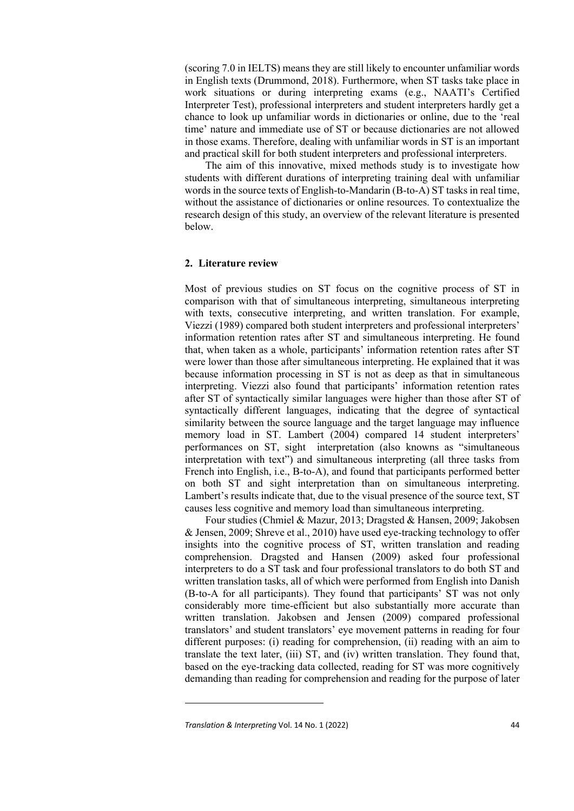(scoring 7.0 in IELTS) means they are still likely to encounter unfamiliar words in English texts (Drummond, 2018). Furthermore, when ST tasks take place in work situations or during interpreting exams (e.g., NAATI's Certified Interpreter Test), professional interpreters and student interpreters hardly get a chance to look up unfamiliar words in dictionaries or online, due to the 'real time' nature and immediate use of ST or because dictionaries are not allowed in those exams. Therefore, dealing with unfamiliar words in ST is an important and practical skill for both student interpreters and professional interpreters.

The aim of this innovative, mixed methods study is to investigate how students with different durations of interpreting training deal with unfamiliar words in the source texts of English-to-Mandarin (B-to-A) ST tasks in real time, without the assistance of dictionaries or online resources. To contextualize the research design of this study, an overview of the relevant literature is presented below.

# **2. Literature review**

Most of previous studies on ST focus on the cognitive process of ST in comparison with that of simultaneous interpreting, simultaneous interpreting with texts, consecutive interpreting, and written translation. For example, Viezzi (1989) compared both student interpreters and professional interpreters' information retention rates after ST and simultaneous interpreting. He found that, when taken as a whole, participants' information retention rates after ST were lower than those after simultaneous interpreting. He explained that it was because information processing in ST is not as deep as that in simultaneous interpreting. Viezzi also found that participants' information retention rates after ST of syntactically similar languages were higher than those after ST of syntactically different languages, indicating that the degree of syntactical similarity between the source language and the target language may influence memory load in ST. Lambert (2004) compared 14 student interpreters' performances on ST, sight interpretation (also knowns as "simultaneous interpretation with text") and simultaneous interpreting (all three tasks from French into English, i.e., B-to-A), and found that participants performed better on both ST and sight interpretation than on simultaneous interpreting. Lambert's results indicate that, due to the visual presence of the source text, ST causes less cognitive and memory load than simultaneous interpreting.

Four studies (Chmiel & Mazur, 2013; Dragsted & Hansen, 2009; Jakobsen & Jensen, 2009; Shreve et al., 2010) have used eye-tracking technology to offer insights into the cognitive process of ST, written translation and reading comprehension. Dragsted and Hansen (2009) asked four professional interpreters to do a ST task and four professional translators to do both ST and written translation tasks, all of which were performed from English into Danish (B-to-A for all participants). They found that participants' ST was not only considerably more time-efficient but also substantially more accurate than written translation. Jakobsen and Jensen (2009) compared professional translators' and student translators' eye movement patterns in reading for four different purposes: (i) reading for comprehension, (ii) reading with an aim to translate the text later, (iii) ST, and (iv) written translation. They found that, based on the eye-tracking data collected, reading for ST was more cognitively demanding than reading for comprehension and reading for the purpose of later

*Translation & Interpreting* Vol. 14 No. 1 (2022)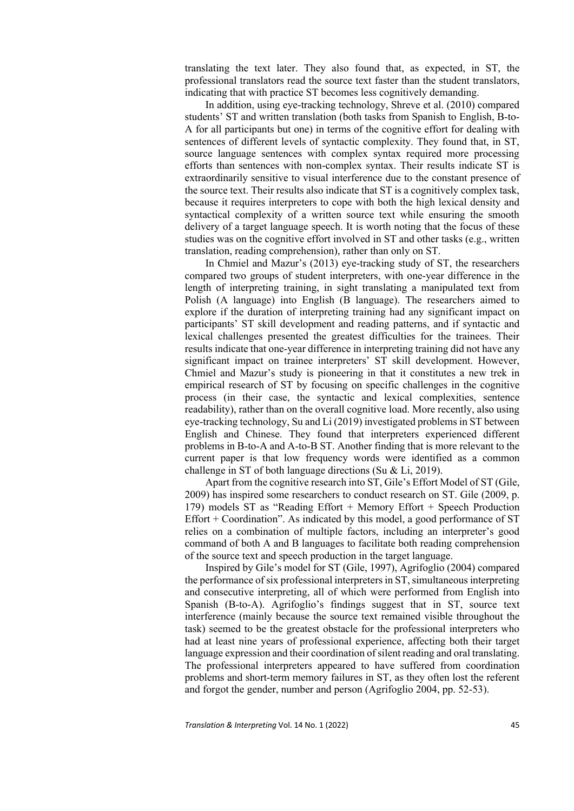translating the text later. They also found that, as expected, in ST, the professional translators read the source text faster than the student translators, indicating that with practice ST becomes less cognitively demanding.

In addition, using eye-tracking technology, Shreve et al. (2010) compared students' ST and written translation (both tasks from Spanish to English, B-to-A for all participants but one) in terms of the cognitive effort for dealing with sentences of different levels of syntactic complexity. They found that, in ST, source language sentences with complex syntax required more processing efforts than sentences with non-complex syntax. Their results indicate ST is extraordinarily sensitive to visual interference due to the constant presence of the source text. Their results also indicate that ST is a cognitively complex task, because it requires interpreters to cope with both the high lexical density and syntactical complexity of a written source text while ensuring the smooth delivery of a target language speech. It is worth noting that the focus of these studies was on the cognitive effort involved in ST and other tasks (e.g., written translation, reading comprehension), rather than only on ST.

In Chmiel and Mazur's (2013) eye-tracking study of ST, the researchers compared two groups of student interpreters, with one-year difference in the length of interpreting training, in sight translating a manipulated text from Polish (A language) into English (B language). The researchers aimed to explore if the duration of interpreting training had any significant impact on participants' ST skill development and reading patterns, and if syntactic and lexical challenges presented the greatest difficulties for the trainees. Their results indicate that one-year difference in interpreting training did not have any significant impact on trainee interpreters' ST skill development. However, Chmiel and Mazur's study is pioneering in that it constitutes a new trek in empirical research of ST by focusing on specific challenges in the cognitive process (in their case, the syntactic and lexical complexities, sentence readability), rather than on the overall cognitive load. More recently, also using eye-tracking technology, Su and Li (2019) investigated problems in ST between English and Chinese. They found that interpreters experienced different problems in B-to-A and A-to-B ST. Another finding that is more relevant to the current paper is that low frequency words were identified as a common challenge in ST of both language directions (Su & Li, 2019).

Apart from the cognitive research into ST, Gile's Effort Model of ST (Gile, 2009) has inspired some researchers to conduct research on ST. Gile (2009, p. 179) models ST as "Reading Effort + Memory Effort + Speech Production Effort  $+$  Coordination". As indicated by this model, a good performance of ST relies on a combination of multiple factors, including an interpreter's good command of both A and B languages to facilitate both reading comprehension of the source text and speech production in the target language.

Inspired by Gile's model for ST (Gile, 1997), Agrifoglio (2004) compared the performance of six professional interpreters in ST, simultaneous interpreting and consecutive interpreting, all of which were performed from English into Spanish (B-to-A). Agrifoglio's findings suggest that in ST, source text interference (mainly because the source text remained visible throughout the task) seemed to be the greatest obstacle for the professional interpreters who had at least nine years of professional experience, affecting both their target language expression and their coordination of silent reading and oral translating. The professional interpreters appeared to have suffered from coordination problems and short-term memory failures in ST, as they often lost the referent and forgot the gender, number and person (Agrifoglio 2004, pp. 52-53).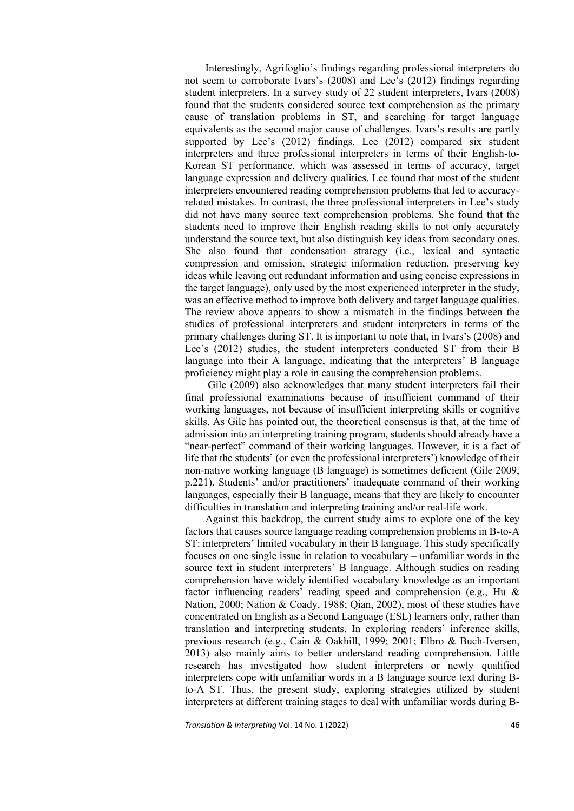Interestingly, Agrifoglio's findings regarding professional interpreters do not seem to corroborate Ivars's (2008) and Lee's (2012) findings regarding student interpreters. In a survey study of 22 student interpreters, Ivars (2008) found that the students considered source text comprehension as the primary cause of translation problems in ST, and searching for target language equivalents as the second major cause of challenges. Ivars's results are partly supported by Lee's (2012) findings. Lee (2012) compared six student interpreters and three professional interpreters in terms of their English-to-Korean ST performance, which was assessed in terms of accuracy, target language expression and delivery qualities. Lee found that most of the student interpreters encountered reading comprehension problems that led to accuracyrelated mistakes. In contrast, the three professional interpreters in Lee's study did not have many source text comprehension problems. She found that the students need to improve their English reading skills to not only accurately understand the source text, but also distinguish key ideas from secondary ones. She also found that condensation strategy (i.e., lexical and syntactic compression and omission, strategic information reduction, preserving key ideas while leaving out redundant information and using concise expressions in the target language), only used by the most experienced interpreter in the study, was an effective method to improve both delivery and target language qualities. The review above appears to show a mismatch in the findings between the studies of professional interpreters and student interpreters in terms of the primary challenges during ST. It is important to note that, in Ivars's (2008) and Lee's (2012) studies, the student interpreters conducted ST from their B language into their A language, indicating that the interpreters' B language proficiency might play a role in causing the comprehension problems.

Gile (2009) also acknowledges that many student interpreters fail their final professional examinations because of insufficient command of their working languages, not because of insufficient interpreting skills or cognitive skills. As Gile has pointed out, the theoretical consensus is that, at the time of admission into an interpreting training program, students should already have a "near-perfect" command of their working languages. However, it is a fact of life that the students' (or even the professional interpreters') knowledge of their non-native working language (B language) is sometimes deficient (Gile 2009, p.221). Students' and/or practitioners' inadequate command of their working languages, especially their B language, means that they are likely to encounter difficulties in translation and interpreting training and/or real-life work.

Against this backdrop, the current study aims to explore one of the key factors that causes source language reading comprehension problems in B-to-A ST: interpreters' limited vocabulary in their B language. This study specifically focuses on one single issue in relation to vocabulary – unfamiliar words in the source text in student interpreters' B language. Although studies on reading comprehension have widely identified vocabulary knowledge as an important factor influencing readers' reading speed and comprehension (e.g., Hu & Nation, 2000; Nation & Coady, 1988; Qian, 2002), most of these studies have concentrated on English as a Second Language (ESL) learners only, rather than translation and interpreting students. In exploring readers' inference skills, previous research (e.g., Cain & Oakhill, 1999; 2001; Elbro & Buch-Iversen, 2013) also mainly aims to better understand reading comprehension. Little research has investigated how student interpreters or newly qualified interpreters cope with unfamiliar words in a B language source text during Bto-A ST. Thus, the present study, exploring strategies utilized by student interpreters at different training stages to deal with unfamiliar words during B-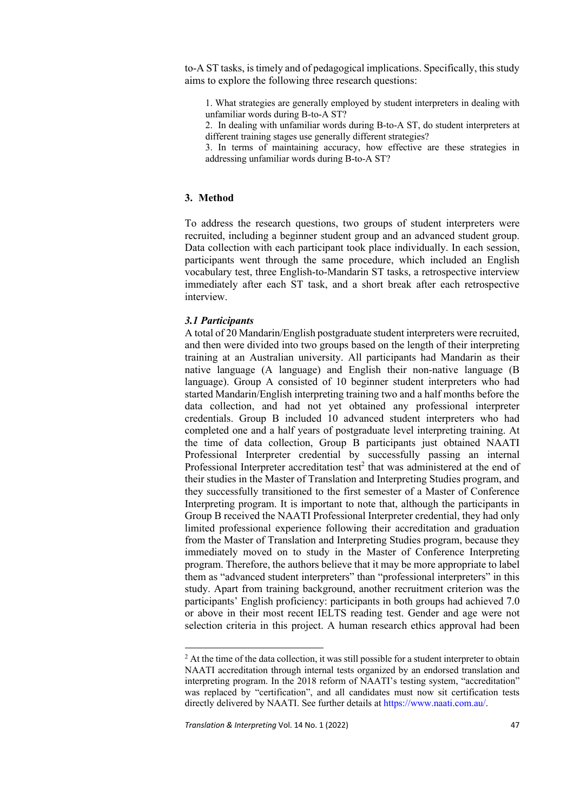to-A ST tasks, is timely and of pedagogical implications. Specifically, this study aims to explore the following three research questions:

1. What strategies are generally employed by student interpreters in dealing with unfamiliar words during B-to-A ST?

2. In dealing with unfamiliar words during B-to-A ST, do student interpreters at different training stages use generally different strategies?

3. In terms of maintaining accuracy, how effective are these strategies in addressing unfamiliar words during B-to-A ST?

# **3. Method**

To address the research questions, two groups of student interpreters were recruited, including a beginner student group and an advanced student group. Data collection with each participant took place individually. In each session, participants went through the same procedure, which included an English vocabulary test, three English-to-Mandarin ST tasks, a retrospective interview immediately after each ST task, and a short break after each retrospective interview.

# *3.1 Participants*

A total of 20 Mandarin/English postgraduate student interpreters were recruited, and then were divided into two groups based on the length of their interpreting training at an Australian university. All participants had Mandarin as their native language (A language) and English their non-native language (B language). Group A consisted of 10 beginner student interpreters who had started Mandarin/English interpreting training two and a half months before the data collection, and had not yet obtained any professional interpreter credentials. Group B included 10 advanced student interpreters who had completed one and a half years of postgraduate level interpreting training. At the time of data collection, Group B participants just obtained NAATI Professional Interpreter credential by successfully passing an internal Professional Interpreter accreditation test<sup>2</sup> that was administered at the end of their studies in the Master of Translation and Interpreting Studies program, and they successfully transitioned to the first semester of a Master of Conference Interpreting program. It is important to note that, although the participants in Group B received the NAATI Professional Interpreter credential, they had only limited professional experience following their accreditation and graduation from the Master of Translation and Interpreting Studies program, because they immediately moved on to study in the Master of Conference Interpreting program. Therefore, the authors believe that it may be more appropriate to label them as "advanced student interpreters" than "professional interpreters" in this study. Apart from training background, another recruitment criterion was the participants' English proficiency: participants in both groups had achieved 7.0 or above in their most recent IELTS reading test. Gender and age were not selection criteria in this project. A human research ethics approval had been

 $<sup>2</sup>$  At the time of the data collection, it was still possible for a student interpreter to obtain</sup> NAATI accreditation through internal tests organized by an endorsed translation and interpreting program. In the 2018 reform of NAATI's testing system, "accreditation" was replaced by "certification", and all candidates must now sit certification tests directly delivered by NAATI. See further details at https://www.naati.com.au/.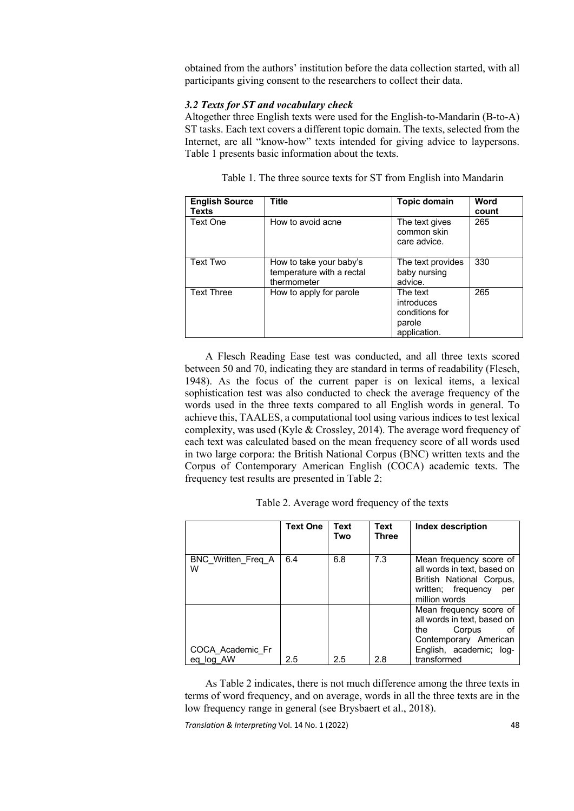obtained from the authors' institution before the data collection started, with all participants giving consent to the researchers to collect their data.

# *3.2 Texts for ST and vocabulary check*

Altogether three English texts were used for the English-to-Mandarin (B-to-A) ST tasks. Each text covers a different topic domain. The texts, selected from the Internet, are all "know-how" texts intended for giving advice to laypersons. Table 1 presents basic information about the texts.

| <b>English Source</b><br>Texts | <b>Title</b>                                                        | <b>Topic domain</b>                                                | Word<br>count |
|--------------------------------|---------------------------------------------------------------------|--------------------------------------------------------------------|---------------|
| <b>Text One</b>                | How to avoid acne                                                   | The text gives<br>common skin<br>care advice.                      | 265           |
| Text Two                       | How to take your baby's<br>temperature with a rectal<br>thermometer | The text provides<br>baby nursing<br>advice.                       | 330           |
| <b>Text Three</b>              | How to apply for parole                                             | The text<br>introduces<br>conditions for<br>parole<br>application. | 265           |

Table 1. The three source texts for ST from English into Mandarin

A Flesch Reading Ease test was conducted, and all three texts scored between 50 and 70, indicating they are standard in terms of readability (Flesch, 1948). As the focus of the current paper is on lexical items, a lexical sophistication test was also conducted to check the average frequency of the words used in the three texts compared to all English words in general. To achieve this, TAALES, a computational tool using various indices to test lexical complexity, was used (Kyle & Crossley, 2014). The average word frequency of each text was calculated based on the mean frequency score of all words used in two large corpora: the British National Corpus (BNC) written texts and the Corpus of Contemporary American English (COCA) academic texts. The frequency test results are presented in Table 2:

| Table 2. Average word frequency of the texts |
|----------------------------------------------|
|----------------------------------------------|

|                               | Text One | Text<br>Two | Text<br><b>Three</b> | <b>Index description</b>                                                                                                                         |
|-------------------------------|----------|-------------|----------------------|--------------------------------------------------------------------------------------------------------------------------------------------------|
| BNC Written Freg A<br>w       | 6.4      | 6.8         | 7.3                  | Mean frequency score of<br>all words in text, based on<br>British National Corpus,<br>written; frequency<br>per<br>million words                 |
| COCA Academic Fr<br>eg log AW | 2.5      | 2.5         | 2.8                  | Mean frequency score of<br>all words in text, based on<br>Corpus<br>the<br>οf<br>Contemporary American<br>English, academic; log-<br>transformed |

As Table 2 indicates, there is not much difference among the three texts in terms of word frequency, and on average, words in all the three texts are in the low frequency range in general (see Brysbaert et al., 2018).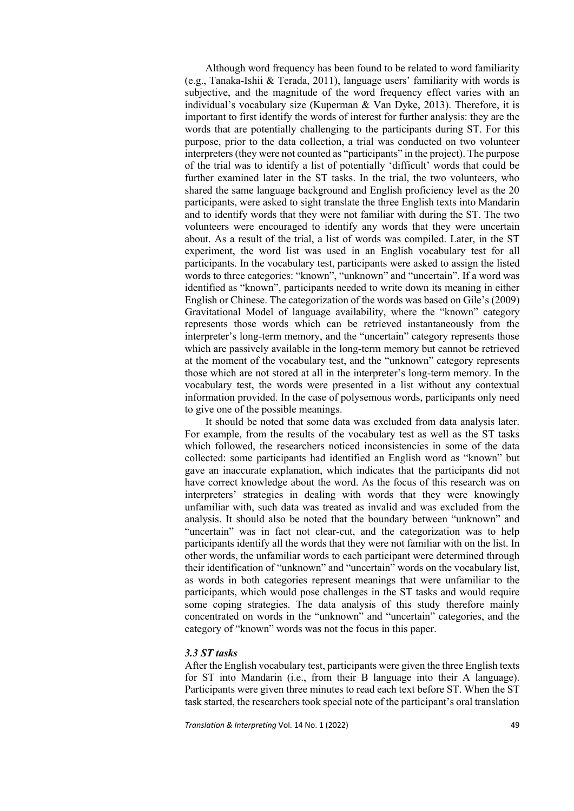Although word frequency has been found to be related to word familiarity (e.g., Tanaka-Ishii & Terada, 2011), language users' familiarity with words is subjective, and the magnitude of the word frequency effect varies with an individual's vocabulary size (Kuperman & Van Dyke, 2013). Therefore, it is important to first identify the words of interest for further analysis: they are the words that are potentially challenging to the participants during ST. For this purpose, prior to the data collection, a trial was conducted on two volunteer interpreters (they were not counted as "participants" in the project). The purpose of the trial was to identify a list of potentially 'difficult' words that could be further examined later in the ST tasks. In the trial, the two volunteers, who shared the same language background and English proficiency level as the 20 participants, were asked to sight translate the three English texts into Mandarin and to identify words that they were not familiar with during the ST. The two volunteers were encouraged to identify any words that they were uncertain about. As a result of the trial, a list of words was compiled. Later, in the ST experiment, the word list was used in an English vocabulary test for all participants. In the vocabulary test, participants were asked to assign the listed words to three categories: "known", "unknown" and "uncertain". If a word was identified as "known", participants needed to write down its meaning in either English or Chinese. The categorization of the words was based on Gile's (2009) Gravitational Model of language availability, where the "known" category represents those words which can be retrieved instantaneously from the interpreter's long-term memory, and the "uncertain" category represents those which are passively available in the long-term memory but cannot be retrieved at the moment of the vocabulary test, and the "unknown" category represents those which are not stored at all in the interpreter's long-term memory. In the vocabulary test, the words were presented in a list without any contextual information provided. In the case of polysemous words, participants only need to give one of the possible meanings.

It should be noted that some data was excluded from data analysis later. For example, from the results of the vocabulary test as well as the ST tasks which followed, the researchers noticed inconsistencies in some of the data collected: some participants had identified an English word as "known" but gave an inaccurate explanation, which indicates that the participants did not have correct knowledge about the word. As the focus of this research was on interpreters' strategies in dealing with words that they were knowingly unfamiliar with, such data was treated as invalid and was excluded from the analysis. It should also be noted that the boundary between "unknown" and "uncertain" was in fact not clear-cut, and the categorization was to help participants identify all the words that they were not familiar with on the list. In other words, the unfamiliar words to each participant were determined through their identification of "unknown" and "uncertain" words on the vocabulary list, as words in both categories represent meanings that were unfamiliar to the participants, which would pose challenges in the ST tasks and would require some coping strategies. The data analysis of this study therefore mainly concentrated on words in the "unknown" and "uncertain" categories, and the category of "known" words was not the focus in this paper.

## *3.3 ST tasks*

After the English vocabulary test, participants were given the three English texts for ST into Mandarin (i.e., from their B language into their A language). Participants were given three minutes to read each text before ST. When the ST task started, the researchers took special note of the participant's oral translation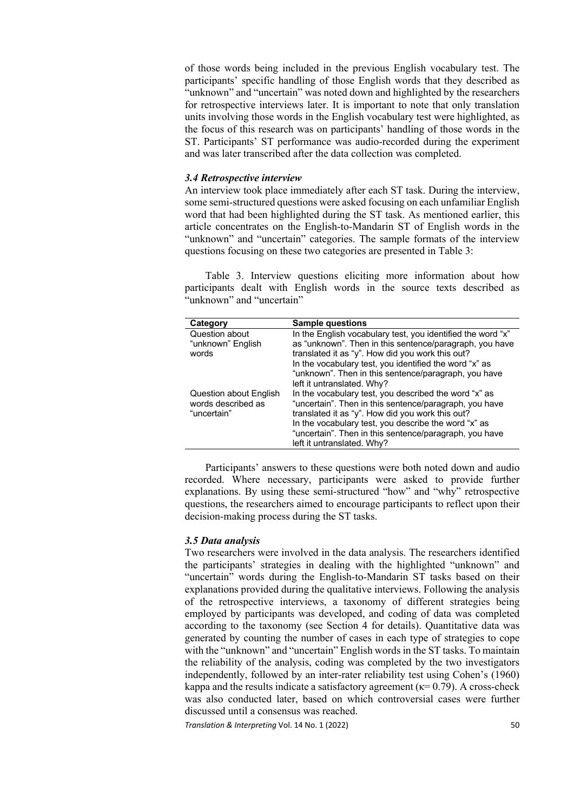of those words being included in the previous English vocabulary test. The participants' specific handling of those English words that they described as "unknown" and "uncertain" was noted down and highlighted by the researchers for retrospective interviews later. It is important to note that only translation units involving those words in the English vocabulary test were highlighted, as the focus of this research was on participants' handling of those words in the ST. Participants' ST performance was audio-recorded during the experiment and was later transcribed after the data collection was completed.

## *3.4 Retrospective interview*

An interview took place immediately after each ST task. During the interview, some semi-structured questions were asked focusing on each unfamiliar English word that had been highlighted during the ST task. As mentioned earlier, this article concentrates on the English-to-Mandarin ST of English words in the "unknown" and "uncertain" categories. The sample formats of the interview questions focusing on these two categories are presented in Table 3:

Table 3. Interview questions eliciting more information about how participants dealt with English words in the source texts described as "unknown" and "uncertain"

| Category                                                    | <b>Sample questions</b>                                                                                                                                                                                                                                                                                                                                                                                   |
|-------------------------------------------------------------|-----------------------------------------------------------------------------------------------------------------------------------------------------------------------------------------------------------------------------------------------------------------------------------------------------------------------------------------------------------------------------------------------------------|
| Question about<br>"unknown" English<br>words                | In the English vocabulary test, you identified the word "x"<br>as "unknown". Then in this sentence/paragraph, you have<br>translated it as "y". How did you work this out?<br>In the vocabulary test, you identified the word "x" as                                                                                                                                                                      |
| Question about English<br>words described as<br>"uncertain" | "unknown". Then in this sentence/paragraph, you have<br>left it untranslated. Why?<br>In the vocabulary test, you described the word "x" as<br>"uncertain". Then in this sentence/paragraph, you have<br>translated it as "y". How did you work this out?<br>In the vocabulary test, you describe the word "x" as<br>"uncertain". Then in this sentence/paragraph, you have<br>left it untranslated. Why? |

Participants' answers to these questions were both noted down and audio recorded. Where necessary, participants were asked to provide further explanations. By using these semi-structured "how" and "why" retrospective questions, the researchers aimed to encourage participants to reflect upon their decision-making process during the ST tasks.

#### *3.5 Data analysis*

Two researchers were involved in the data analysis. The researchers identified the participants' strategies in dealing with the highlighted "unknown" and "uncertain" words during the English-to-Mandarin ST tasks based on their explanations provided during the qualitative interviews. Following the analysis of the retrospective interviews, a taxonomy of different strategies being employed by participants was developed, and coding of data was completed according to the taxonomy (see Section 4 for details). Quantitative data was generated by counting the number of cases in each type of strategies to cope with the "unknown" and "uncertain" English words in the ST tasks. To maintain the reliability of the analysis, coding was completed by the two investigators independently, followed by an inter-rater reliability test using Cohen's (1960) kappa and the results indicate a satisfactory agreement ( $\kappa$ = 0.79). A cross-check was also conducted later, based on which controversial cases were further discussed until a consensus was reached.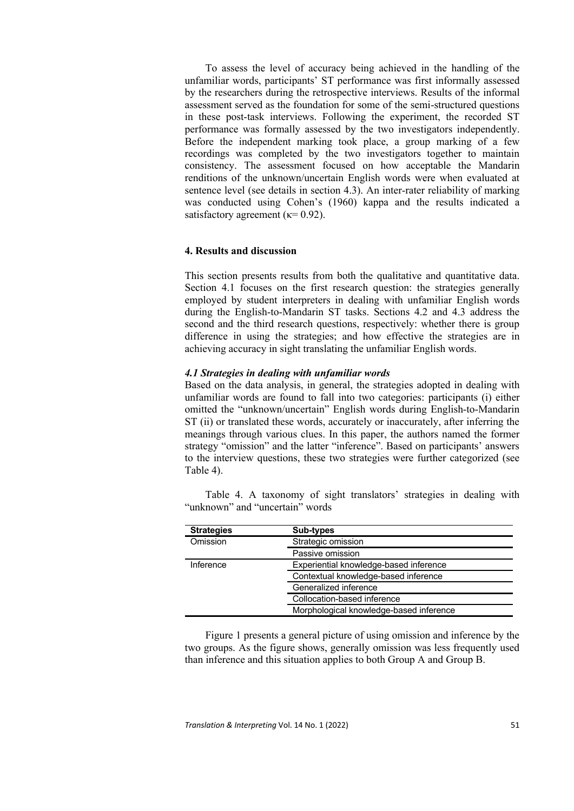To assess the level of accuracy being achieved in the handling of the unfamiliar words, participants' ST performance was first informally assessed by the researchers during the retrospective interviews. Results of the informal assessment served as the foundation for some of the semi-structured questions in these post-task interviews. Following the experiment, the recorded ST performance was formally assessed by the two investigators independently. Before the independent marking took place, a group marking of a few recordings was completed by the two investigators together to maintain consistency. The assessment focused on how acceptable the Mandarin renditions of the unknown/uncertain English words were when evaluated at sentence level (see details in section 4.3). An inter-rater reliability of marking was conducted using Cohen's (1960) kappa and the results indicated a satisfactory agreement ( $\kappa$ = 0.92).

# **4. Results and discussion**

This section presents results from both the qualitative and quantitative data. Section 4.1 focuses on the first research question: the strategies generally employed by student interpreters in dealing with unfamiliar English words during the English-to-Mandarin ST tasks. Sections 4.2 and 4.3 address the second and the third research questions, respectively: whether there is group difference in using the strategies; and how effective the strategies are in achieving accuracy in sight translating the unfamiliar English words.

# *4.1 Strategies in dealing with unfamiliar words*

Based on the data analysis, in general, the strategies adopted in dealing with unfamiliar words are found to fall into two categories: participants (i) either omitted the "unknown/uncertain" English words during English-to-Mandarin ST (ii) or translated these words, accurately or inaccurately, after inferring the meanings through various clues. In this paper, the authors named the former strategy "omission" and the latter "inference". Based on participants' answers to the interview questions, these two strategies were further categorized (see Table 4).

Table 4. A taxonomy of sight translators' strategies in dealing with "unknown" and "uncertain" words

| <b>Strategies</b> | Sub-types                               |  |
|-------------------|-----------------------------------------|--|
| Omission          | Strategic omission                      |  |
|                   | Passive omission                        |  |
| Inference         | Experiential knowledge-based inference  |  |
|                   | Contextual knowledge-based inference    |  |
|                   | Generalized inference                   |  |
|                   | Collocation-based inference             |  |
|                   | Morphological knowledge-based inference |  |

Figure 1 presents a general picture of using omission and inference by the two groups. As the figure shows, generally omission was less frequently used than inference and this situation applies to both Group A and Group B.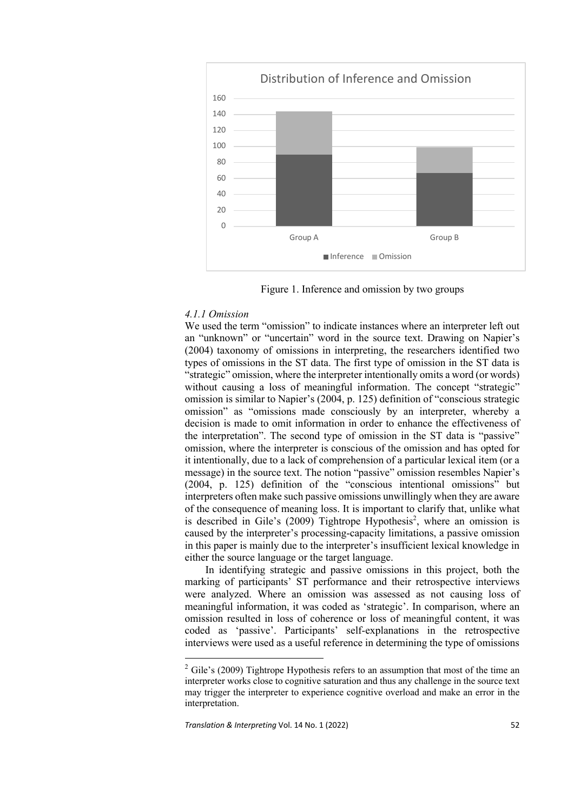

Figure 1. Inference and omission by two groups

# *4.1.1 Omission*

We used the term "omission" to indicate instances where an interpreter left out an "unknown" or "uncertain" word in the source text. Drawing on Napier's (2004) taxonomy of omissions in interpreting, the researchers identified two types of omissions in the ST data. The first type of omission in the ST data is "strategic" omission, where the interpreter intentionally omits a word (or words) without causing a loss of meaningful information. The concept "strategic" omission is similar to Napier's (2004, p. 125) definition of "conscious strategic omission" as "omissions made consciously by an interpreter, whereby a decision is made to omit information in order to enhance the effectiveness of the interpretation". The second type of omission in the ST data is "passive" omission, where the interpreter is conscious of the omission and has opted for it intentionally, due to a lack of comprehension of a particular lexical item (or a message) in the source text. The notion "passive" omission resembles Napier's (2004, p. 125) definition of the "conscious intentional omissions" but interpreters often make such passive omissions unwillingly when they are aware of the consequence of meaning loss. It is important to clarify that, unlike what is described in Gile's  $(2009)$  Tightrope Hypothesis<sup>2</sup>, where an omission is caused by the interpreter's processing-capacity limitations, a passive omission in this paper is mainly due to the interpreter's insufficient lexical knowledge in either the source language or the target language.

In identifying strategic and passive omissions in this project, both the marking of participants' ST performance and their retrospective interviews were analyzed. Where an omission was assessed as not causing loss of meaningful information, it was coded as 'strategic'. In comparison, where an omission resulted in loss of coherence or loss of meaningful content, it was coded as 'passive'. Participants' self-explanations in the retrospective interviews were used as a useful reference in determining the type of omissions

 $2$  Gile's (2009) Tightrope Hypothesis refers to an assumption that most of the time an interpreter works close to cognitive saturation and thus any challenge in the source text may trigger the interpreter to experience cognitive overload and make an error in the interpretation.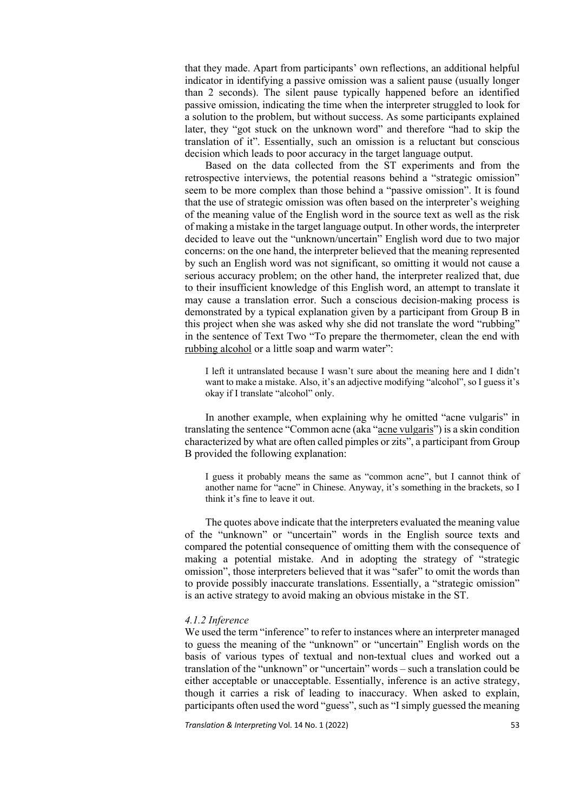that they made. Apart from participants' own reflections, an additional helpful indicator in identifying a passive omission was a salient pause (usually longer than 2 seconds). The silent pause typically happened before an identified passive omission, indicating the time when the interpreter struggled to look for a solution to the problem, but without success. As some participants explained later, they "got stuck on the unknown word" and therefore "had to skip the translation of it". Essentially, such an omission is a reluctant but conscious decision which leads to poor accuracy in the target language output.

Based on the data collected from the ST experiments and from the retrospective interviews, the potential reasons behind a "strategic omission" seem to be more complex than those behind a "passive omission". It is found that the use of strategic omission was often based on the interpreter's weighing of the meaning value of the English word in the source text as well as the risk of making a mistake in the target language output. In other words, the interpreter decided to leave out the "unknown/uncertain" English word due to two major concerns: on the one hand, the interpreter believed that the meaning represented by such an English word was not significant, so omitting it would not cause a serious accuracy problem; on the other hand, the interpreter realized that, due to their insufficient knowledge of this English word, an attempt to translate it may cause a translation error. Such a conscious decision-making process is demonstrated by a typical explanation given by a participant from Group B in this project when she was asked why she did not translate the word "rubbing" in the sentence of Text Two "To prepare the thermometer, clean the end with rubbing alcohol or a little soap and warm water":

I left it untranslated because I wasn't sure about the meaning here and I didn't want to make a mistake. Also, it's an adjective modifying "alcohol", so I guess it's okay if I translate "alcohol" only.

In another example, when explaining why he omitted "acne vulgaris" in translating the sentence "Common acne (aka "acne vulgaris") is a skin condition characterized by what are often called pimples or zits", a participant from Group B provided the following explanation:

I guess it probably means the same as "common acne", but I cannot think of another name for "acne" in Chinese. Anyway, it's something in the brackets, so I think it's fine to leave it out.

The quotes above indicate that the interpreters evaluated the meaning value of the "unknown" or "uncertain" words in the English source texts and compared the potential consequence of omitting them with the consequence of making a potential mistake. And in adopting the strategy of "strategic omission", those interpreters believed that it was "safer" to omit the words than to provide possibly inaccurate translations. Essentially, a "strategic omission" is an active strategy to avoid making an obvious mistake in the ST.

## *4.1.2 Inference*

We used the term "inference" to refer to instances where an interpreter managed to guess the meaning of the "unknown" or "uncertain" English words on the basis of various types of textual and non-textual clues and worked out a translation of the "unknown" or "uncertain" words – such a translation could be either acceptable or unacceptable. Essentially, inference is an active strategy, though it carries a risk of leading to inaccuracy. When asked to explain, participants often used the word "guess", such as "I simply guessed the meaning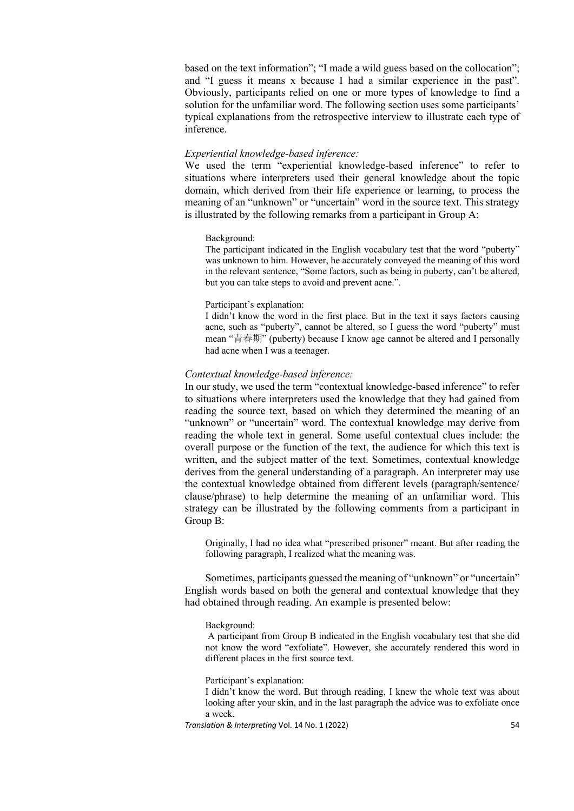based on the text information"; "I made a wild guess based on the collocation"; and "I guess it means x because I had a similar experience in the past". Obviously, participants relied on one or more types of knowledge to find a solution for the unfamiliar word. The following section uses some participants' typical explanations from the retrospective interview to illustrate each type of inference.

# *Experiential knowledge-based inference:*

We used the term "experiential knowledge-based inference" to refer to situations where interpreters used their general knowledge about the topic domain, which derived from their life experience or learning, to process the meaning of an "unknown" or "uncertain" word in the source text. This strategy is illustrated by the following remarks from a participant in Group A:

#### Background:

The participant indicated in the English vocabulary test that the word "puberty" was unknown to him. However, he accurately conveyed the meaning of this word in the relevant sentence, "Some factors, such as being in puberty, can't be altered, but you can take steps to avoid and prevent acne.".

#### Participant's explanation:

I didn't know the word in the first place. But in the text it says factors causing acne, such as "puberty", cannot be altered, so I guess the word "puberty" must mean "青春期" (puberty) because I know age cannot be altered and I personally had acne when I was a teenager.

## *Contextual knowledge-based inference:*

In our study, we used the term "contextual knowledge-based inference" to refer to situations where interpreters used the knowledge that they had gained from reading the source text, based on which they determined the meaning of an "unknown" or "uncertain" word. The contextual knowledge may derive from reading the whole text in general. Some useful contextual clues include: the overall purpose or the function of the text, the audience for which this text is written, and the subject matter of the text. Sometimes, contextual knowledge derives from the general understanding of a paragraph. An interpreter may use the contextual knowledge obtained from different levels (paragraph/sentence/ clause/phrase) to help determine the meaning of an unfamiliar word. This strategy can be illustrated by the following comments from a participant in Group B:

Originally, I had no idea what "prescribed prisoner" meant. But after reading the following paragraph, I realized what the meaning was.

Sometimes, participants guessed the meaning of "unknown" or "uncertain" English words based on both the general and contextual knowledge that they had obtained through reading. An example is presented below:

#### Background:

A participant from Group B indicated in the English vocabulary test that she did not know the word "exfoliate". However, she accurately rendered this word in different places in the first source text.

Participant's explanation:

I didn't know the word. But through reading, I knew the whole text was about looking after your skin, and in the last paragraph the advice was to exfoliate once a week.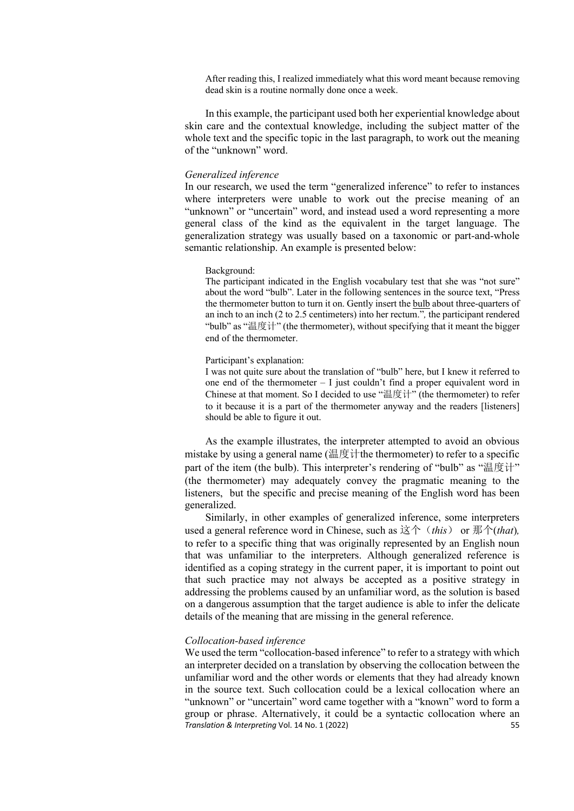After reading this, I realized immediately what this word meant because removing dead skin is a routine normally done once a week.

In this example, the participant used both her experiential knowledge about skin care and the contextual knowledge, including the subject matter of the whole text and the specific topic in the last paragraph, to work out the meaning of the "unknown" word.

## *Generalized inference*

In our research, we used the term "generalized inference" to refer to instances where interpreters were unable to work out the precise meaning of an "unknown" or "uncertain" word, and instead used a word representing a more general class of the kind as the equivalent in the target language. The generalization strategy was usually based on a taxonomic or part-and-whole semantic relationship. An example is presented below:

#### Background:

The participant indicated in the English vocabulary test that she was "not sure" about the word "bulb". Later in the following sentences in the source text, "Press the thermometer button to turn it on. Gently insert the bulb about three-quarters of an inch to an inch (2 to 2.5 centimeters) into her rectum."*,* the participant rendered "bulb" as "温度计" (the thermometer), without specifying that it meant the bigger end of the thermometer.

#### Participant's explanation:

I was not quite sure about the translation of "bulb" here, but I knew it referred to one end of the thermometer – I just couldn't find a proper equivalent word in Chinese at that moment. So I decided to use "温度计" (the thermometer) to refer to it because it is a part of the thermometer anyway and the readers [listeners] should be able to figure it out.

As the example illustrates, the interpreter attempted to avoid an obvious mistake by using a general name (温度计the thermometer) to refer to a specific part of the item (the bulb). This interpreter's rendering of "bulb" as "温度计" (the thermometer) may adequately convey the pragmatic meaning to the listeners, but the specific and precise meaning of the English word has been generalized.

Similarly, in other examples of generalized inference, some interpreters used a general reference word in Chinese, such as 这个(*this*) or 那个(*that*)*,*  to refer to a specific thing that was originally represented by an English noun that was unfamiliar to the interpreters. Although generalized reference is identified as a coping strategy in the current paper, it is important to point out that such practice may not always be accepted as a positive strategy in addressing the problems caused by an unfamiliar word, as the solution is based on a dangerous assumption that the target audience is able to infer the delicate details of the meaning that are missing in the general reference.

## *Collocation-based inference*

*Translation & Interpreting* Vol. 14 No. 1 (2022) 55 We used the term "collocation-based inference" to refer to a strategy with which an interpreter decided on a translation by observing the collocation between the unfamiliar word and the other words or elements that they had already known in the source text. Such collocation could be a lexical collocation where an "unknown" or "uncertain" word came together with a "known" word to form a group or phrase. Alternatively, it could be a syntactic collocation where an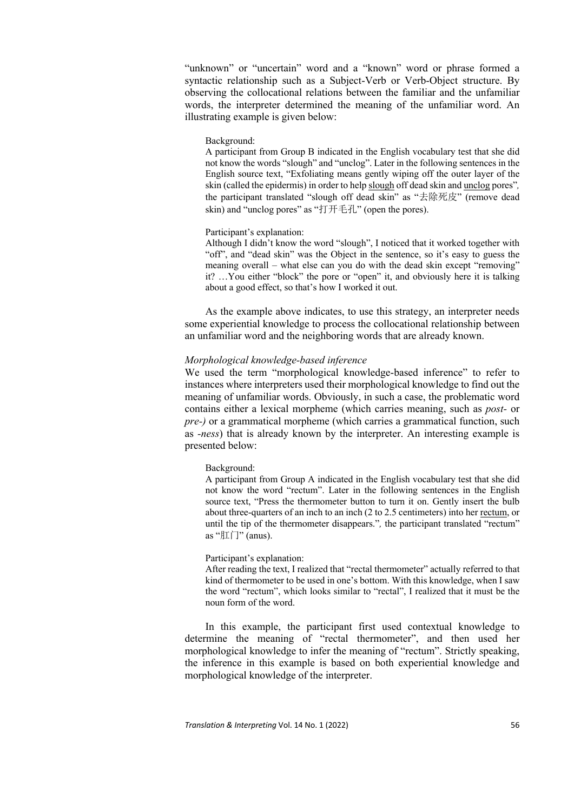"unknown" or "uncertain" word and a "known" word or phrase formed a syntactic relationship such as a Subject-Verb or Verb-Object structure. By observing the collocational relations between the familiar and the unfamiliar words, the interpreter determined the meaning of the unfamiliar word. An illustrating example is given below:

#### Background:

A participant from Group B indicated in the English vocabulary test that she did not know the words "slough" and "unclog". Later in the following sentences in the English source text, "Exfoliating means gently wiping off the outer layer of the skin (called the epidermis) in order to help slough off dead skin and unclog pores"*,*  the participant translated "slough off dead skin" as "去除死皮" (remove dead skin) and "unclog pores" as "打开毛孔" (open the pores).

#### Participant's explanation:

Although I didn't know the word "slough", I noticed that it worked together with "off", and "dead skin" was the Object in the sentence, so it's easy to guess the meaning overall – what else can you do with the dead skin except "removing" it? …You either "block" the pore or "open" it, and obviously here it is talking about a good effect, so that's how I worked it out.

As the example above indicates, to use this strategy, an interpreter needs some experiential knowledge to process the collocational relationship between an unfamiliar word and the neighboring words that are already known.

## *Morphological knowledge-based inference*

We used the term "morphological knowledge-based inference" to refer to instances where interpreters used their morphological knowledge to find out the meaning of unfamiliar words. Obviously, in such a case, the problematic word contains either a lexical morpheme (which carries meaning, such as *post-* or *pre-)* or a grammatical morpheme (which carries a grammatical function, such as *-ness*) that is already known by the interpreter. An interesting example is presented below:

#### Background:

A participant from Group A indicated in the English vocabulary test that she did not know the word "rectum". Later in the following sentences in the English source text, "Press the thermometer button to turn it on. Gently insert the bulb about three-quarters of an inch to an inch (2 to 2.5 centimeters) into her rectum, or until the tip of the thermometer disappears."*,* the participant translated "rectum" as " $\mathbb{H}$ ]" (anus).

## Participant's explanation:

After reading the text, I realized that "rectal thermometer" actually referred to that kind of thermometer to be used in one's bottom. With this knowledge, when I saw the word "rectum", which looks similar to "rectal", I realized that it must be the noun form of the word.

In this example, the participant first used contextual knowledge to determine the meaning of "rectal thermometer", and then used her morphological knowledge to infer the meaning of "rectum". Strictly speaking, the inference in this example is based on both experiential knowledge and morphological knowledge of the interpreter.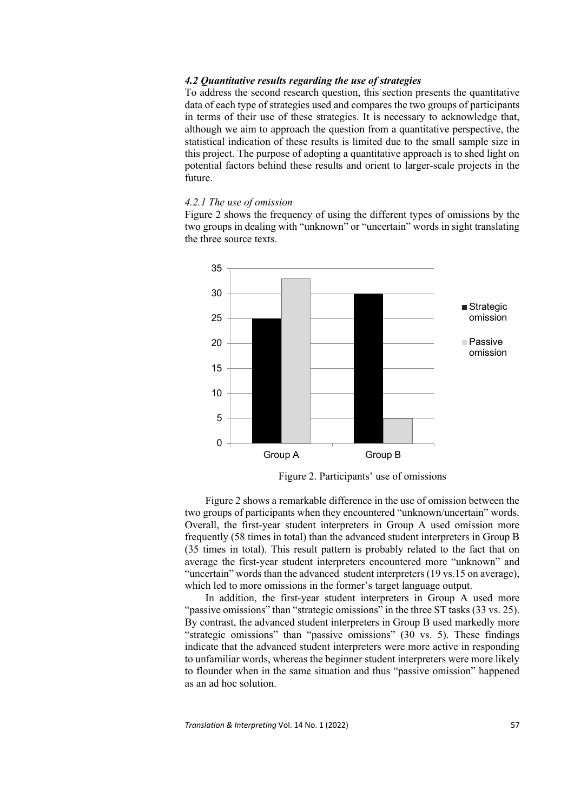# *4.2 Quantitative results regarding the use of strategies*

To address the second research question, this section presents the quantitative data of each type of strategies used and compares the two groups of participants in terms of their use of these strategies. It is necessary to acknowledge that, although we aim to approach the question from a quantitative perspective, the statistical indication of these results is limited due to the small sample size in this project. The purpose of adopting a quantitative approach is to shed light on potential factors behind these results and orient to larger-scale projects in the future.

# *4.2.1 The use of omission*

Figure 2 shows the frequency of using the different types of omissions by the two groups in dealing with "unknown" or "uncertain" words in sight translating the three source texts.



Figure 2. Participants' use of omissions

Figure 2 shows a remarkable difference in the use of omission between the two groups of participants when they encountered "unknown/uncertain" words. Overall, the first-year student interpreters in Group A used omission more frequently (58 times in total) than the advanced student interpreters in Group B (35 times in total). This result pattern is probably related to the fact that on average the first-year student interpreters encountered more "unknown" and "uncertain" words than the advanced student interpreters (19 vs.15 on average), which led to more omissions in the former's target language output.

In addition, the first-year student interpreters in Group A used more "passive omissions" than "strategic omissions" in the three ST tasks (33 vs. 25). By contrast, the advanced student interpreters in Group B used markedly more "strategic omissions" than "passive omissions" (30 vs. 5). These findings indicate that the advanced student interpreters were more active in responding to unfamiliar words, whereas the beginner student interpreters were more likely to flounder when in the same situation and thus "passive omission" happened as an ad hoc solution.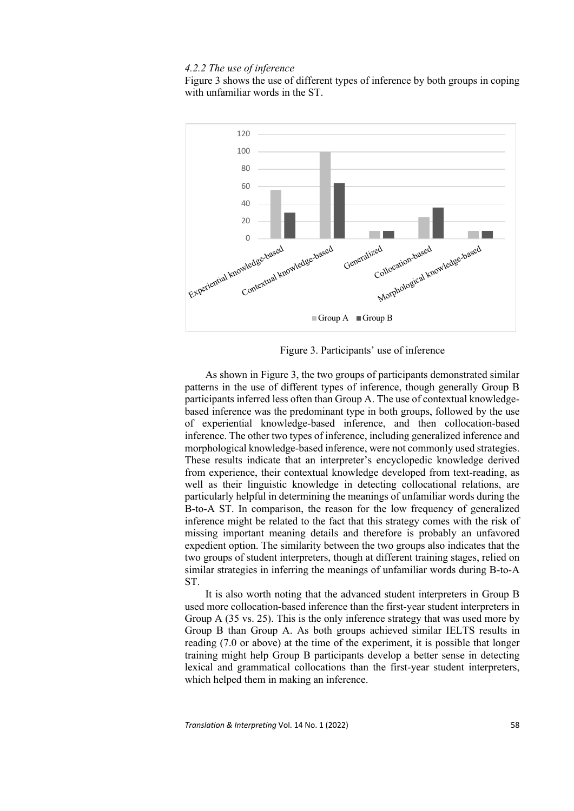# *4.2.2 The use of inference*

Figure 3 shows the use of different types of inference by both groups in coping with unfamiliar words in the ST.



Figure 3. Participants' use of inference

As shown in Figure 3, the two groups of participants demonstrated similar patterns in the use of different types of inference, though generally Group B participants inferred less often than Group A. The use of contextual knowledgebased inference was the predominant type in both groups, followed by the use of experiential knowledge-based inference, and then collocation-based inference. The other two types of inference, including generalized inference and morphological knowledge-based inference, were not commonly used strategies. These results indicate that an interpreter's encyclopedic knowledge derived from experience, their contextual knowledge developed from text-reading, as well as their linguistic knowledge in detecting collocational relations, are particularly helpful in determining the meanings of unfamiliar words during the B-to-A ST. In comparison, the reason for the low frequency of generalized inference might be related to the fact that this strategy comes with the risk of missing important meaning details and therefore is probably an unfavored expedient option. The similarity between the two groups also indicates that the two groups of student interpreters, though at different training stages, relied on similar strategies in inferring the meanings of unfamiliar words during B-to-A ST.

It is also worth noting that the advanced student interpreters in Group B used more collocation-based inference than the first-year student interpreters in Group A (35 vs. 25). This is the only inference strategy that was used more by Group B than Group A. As both groups achieved similar IELTS results in reading (7.0 or above) at the time of the experiment, it is possible that longer training might help Group B participants develop a better sense in detecting lexical and grammatical collocations than the first-year student interpreters, which helped them in making an inference.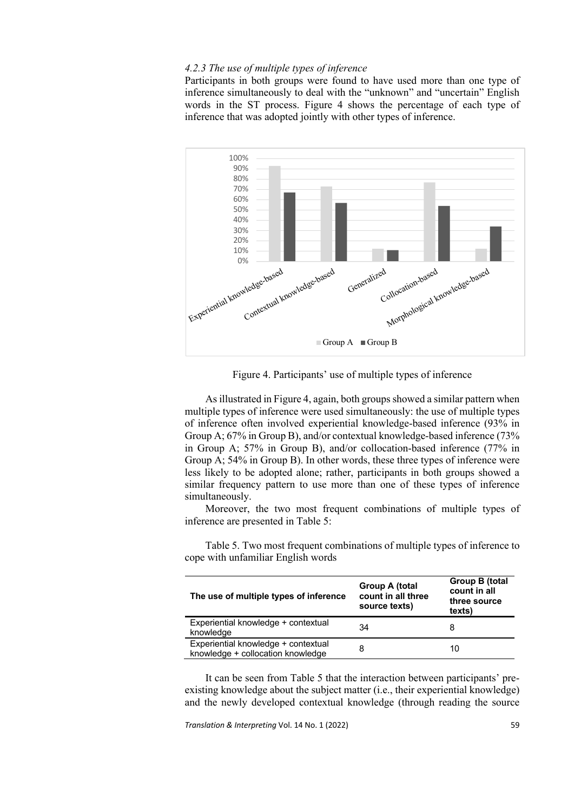# *4.2.3 The use of multiple types of inference*

Participants in both groups were found to have used more than one type of inference simultaneously to deal with the "unknown" and "uncertain" English words in the ST process. Figure 4 shows the percentage of each type of inference that was adopted jointly with other types of inference.



Figure 4. Participants' use of multiple types of inference

As illustrated in Figure 4, again, both groups showed a similar pattern when multiple types of inference were used simultaneously: the use of multiple types of inference often involved experiential knowledge-based inference (93% in Group A; 67% in Group B), and/or contextual knowledge-based inference (73% in Group A; 57% in Group B), and/or collocation-based inference (77% in Group A; 54% in Group B). In other words, these three types of inference were less likely to be adopted alone; rather, participants in both groups showed a similar frequency pattern to use more than one of these types of inference simultaneously.

Moreover, the two most frequent combinations of multiple types of inference are presented in Table 5:

Table 5. Two most frequent combinations of multiple types of inference to cope with unfamiliar English words

| The use of multiple types of inference                                   | Group A (total<br>count in all three<br>source texts) | <b>Group B (total</b><br>count in all<br>three source<br>texts) |
|--------------------------------------------------------------------------|-------------------------------------------------------|-----------------------------------------------------------------|
| Experiential knowledge + contextual<br>knowledge                         | 34                                                    | 8                                                               |
| Experiential knowledge + contextual<br>knowledge + collocation knowledge | 8                                                     | 10                                                              |

It can be seen from Table 5 that the interaction between participants' preexisting knowledge about the subject matter (i.e., their experiential knowledge) and the newly developed contextual knowledge (through reading the source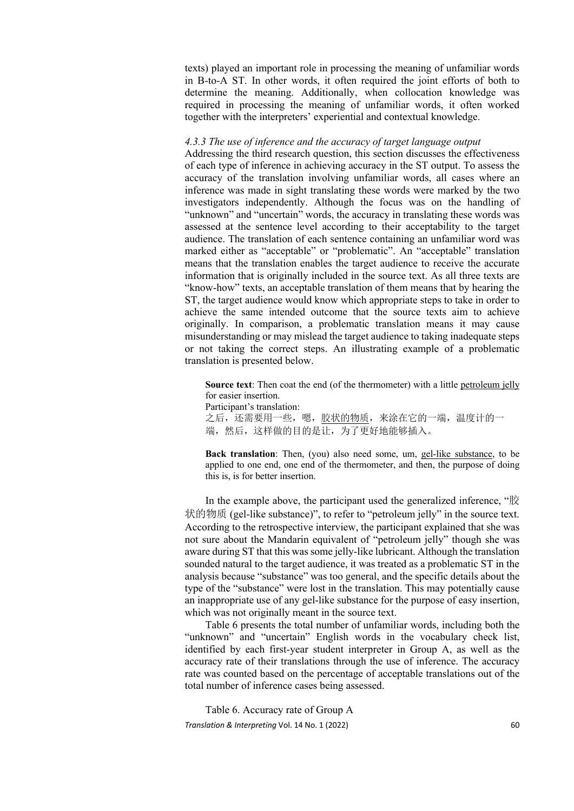texts) played an important role in processing the meaning of unfamiliar words in B-to-A ST. In other words, it often required the joint efforts of both to determine the meaning. Additionally, when collocation knowledge was required in processing the meaning of unfamiliar words, it often worked together with the interpreters' experiential and contextual knowledge.

## *4.3.3 The use of inference and the accuracy of target language output*

Addressing the third research question, this section discusses the effectiveness of each type of inference in achieving accuracy in the ST output. To assess the accuracy of the translation involving unfamiliar words, all cases where an inference was made in sight translating these words were marked by the two investigators independently. Although the focus was on the handling of "unknown" and "uncertain" words, the accuracy in translating these words was assessed at the sentence level according to their acceptability to the target audience. The translation of each sentence containing an unfamiliar word was marked either as "acceptable" or "problematic". An "acceptable" translation means that the translation enables the target audience to receive the accurate information that is originally included in the source text. As all three texts are "know-how" texts, an acceptable translation of them means that by hearing the ST, the target audience would know which appropriate steps to take in order to achieve the same intended outcome that the source texts aim to achieve originally. In comparison, a problematic translation means it may cause misunderstanding or may mislead the target audience to taking inadequate steps or not taking the correct steps. An illustrating example of a problematic translation is presented below.

**Source text**: Then coat the end (of the thermometer) with a little petroleum jelly for easier insertion. Participant's translation: 之后,还需要用一些,嗯,胶状的物质,来涂在它的一端,温度计的一 端,然后,这样做的目的是让,为了更好地能够插入。

**Back translation**: Then, (you) also need some, um, gel-like substance, to be applied to one end, one end of the thermometer, and then, the purpose of doing this is, is for better insertion.

In the example above, the participant used the generalized inference, "胶 状的物质 (gel-like substance)", to refer to "petroleum jelly" in the source text. According to the retrospective interview, the participant explained that she was not sure about the Mandarin equivalent of "petroleum jelly" though she was aware during ST that this was some jelly-like lubricant. Although the translation sounded natural to the target audience, it was treated as a problematic ST in the analysis because "substance" was too general, and the specific details about the type of the "substance" were lost in the translation. This may potentially cause an inappropriate use of any gel-like substance for the purpose of easy insertion, which was not originally meant in the source text.

Table 6 presents the total number of unfamiliar words, including both the "unknown" and "uncertain" English words in the vocabulary check list, identified by each first-year student interpreter in Group A, as well as the accuracy rate of their translations through the use of inference. The accuracy rate was counted based on the percentage of acceptable translations out of the total number of inference cases being assessed.

*Translation & Interpreting* Vol. 14 No. 1 (2022) Table 6. Accuracy rate of Group A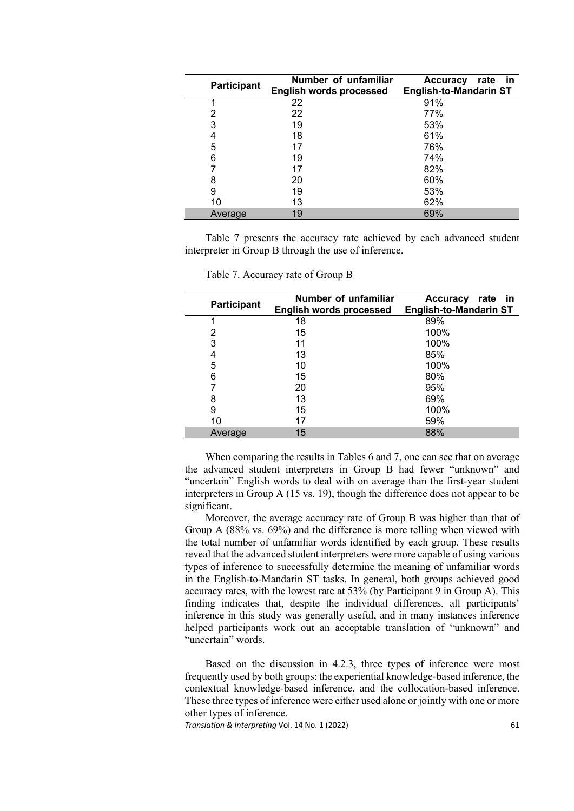| <b>Participant</b> | Number of unfamiliar<br><b>English words processed</b> | <b>Accuracy</b><br>rate<br>-in<br><b>English-to-Mandarin ST</b> |
|--------------------|--------------------------------------------------------|-----------------------------------------------------------------|
| 1                  | 22                                                     | 91%                                                             |
| 2                  | 22                                                     | 77%                                                             |
| 3                  | 19                                                     | 53%                                                             |
| 4                  | 18                                                     | 61%                                                             |
| 5                  | 17                                                     | 76%                                                             |
| 6                  | 19                                                     | 74%                                                             |
|                    | 17                                                     | 82%                                                             |
| 8                  | 20                                                     | 60%                                                             |
| 9                  | 19                                                     | 53%                                                             |
| 10                 | 13                                                     | 62%                                                             |
| Average            | 19                                                     | 69%                                                             |

Table 7 presents the accuracy rate achieved by each advanced student interpreter in Group B through the use of inference.

| <b>Participant</b> | Number of unfamiliar<br><b>English words processed</b> | <b>Accuracy</b><br>rate<br>- in<br><b>English-to-Mandarin ST</b> |
|--------------------|--------------------------------------------------------|------------------------------------------------------------------|
|                    | 18                                                     | 89%                                                              |
| 2                  | 15                                                     | 100%                                                             |
| 3                  | 11                                                     | 100%                                                             |
| 4                  | 13                                                     | 85%                                                              |
| 5                  | 10                                                     | 100%                                                             |
| 6                  | 15                                                     | 80%                                                              |
|                    | 20                                                     | 95%                                                              |
| 8                  | 13                                                     | 69%                                                              |
| 9                  | 15                                                     | 100%                                                             |
| 10                 | 17                                                     | 59%                                                              |
| Average            | 15                                                     | 88%                                                              |

Table 7. Accuracy rate of Group B

When comparing the results in Tables 6 and 7, one can see that on average the advanced student interpreters in Group B had fewer "unknown" and "uncertain" English words to deal with on average than the first-year student interpreters in Group A (15 vs. 19), though the difference does not appear to be significant.

Moreover, the average accuracy rate of Group B was higher than that of Group A (88% vs. 69%) and the difference is more telling when viewed with the total number of unfamiliar words identified by each group. These results reveal that the advanced student interpreters were more capable of using various types of inference to successfully determine the meaning of unfamiliar words in the English-to-Mandarin ST tasks. In general, both groups achieved good accuracy rates, with the lowest rate at 53% (by Participant 9 in Group A). This finding indicates that, despite the individual differences, all participants' inference in this study was generally useful, and in many instances inference helped participants work out an acceptable translation of "unknown" and "uncertain" words.

Based on the discussion in 4.2.3, three types of inference were most frequently used by both groups: the experiential knowledge-based inference, the contextual knowledge-based inference, and the collocation-based inference. These three types of inference were either used alone or jointly with one or more other types of inference.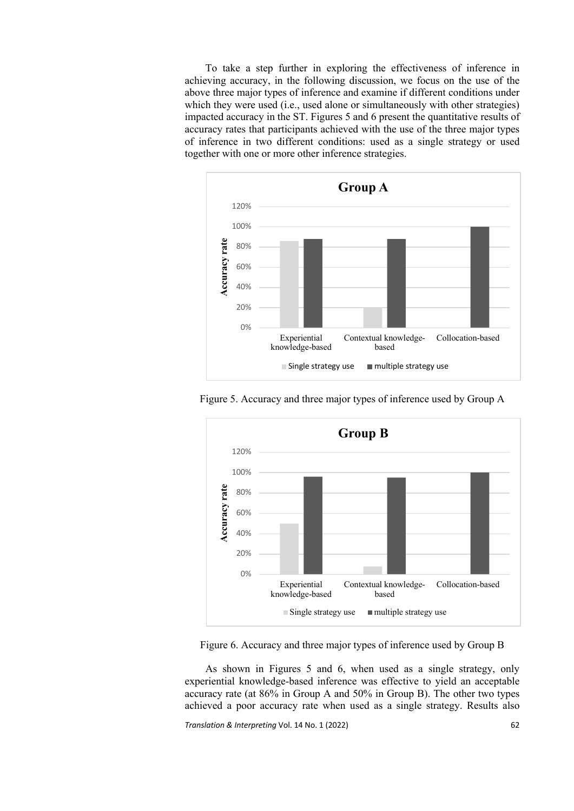To take a step further in exploring the effectiveness of inference in achieving accuracy, in the following discussion, we focus on the use of the above three major types of inference and examine if different conditions under which they were used (*i.e.*, used alone or simultaneously with other strategies) impacted accuracy in the ST. Figures 5 and 6 present the quantitative results of accuracy rates that participants achieved with the use of the three major types of inference in two different conditions: used as a single strategy or used together with one or more other inference strategies.



Figure 5. Accuracy and three major types of inference used by Group A



Figure 6. Accuracy and three major types of inference used by Group B

As shown in Figures 5 and 6, when used as a single strategy, only experiential knowledge-based inference was effective to yield an acceptable accuracy rate (at 86% in Group A and 50% in Group B). The other two types achieved a poor accuracy rate when used as a single strategy. Results also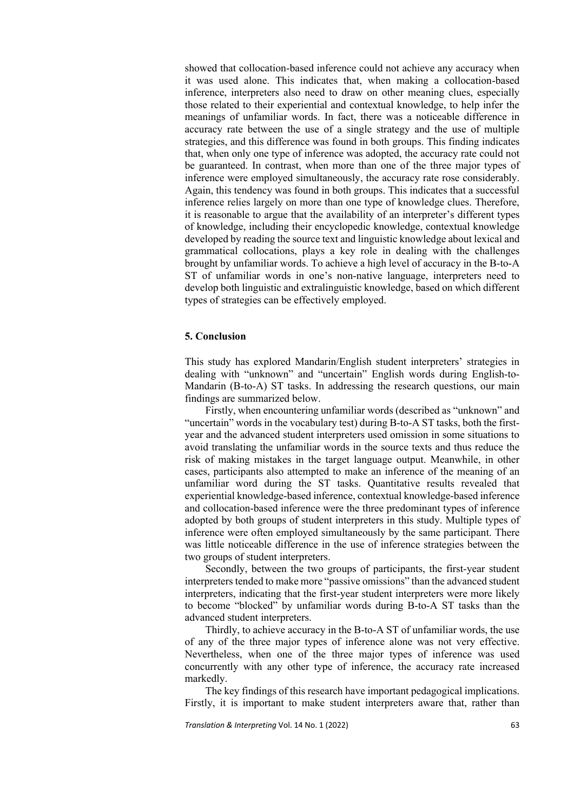showed that collocation-based inference could not achieve any accuracy when it was used alone. This indicates that, when making a collocation-based inference, interpreters also need to draw on other meaning clues, especially those related to their experiential and contextual knowledge, to help infer the meanings of unfamiliar words. In fact, there was a noticeable difference in accuracy rate between the use of a single strategy and the use of multiple strategies, and this difference was found in both groups. This finding indicates that, when only one type of inference was adopted, the accuracy rate could not be guaranteed. In contrast, when more than one of the three major types of inference were employed simultaneously, the accuracy rate rose considerably. Again, this tendency was found in both groups. This indicates that a successful inference relies largely on more than one type of knowledge clues. Therefore, it is reasonable to argue that the availability of an interpreter's different types of knowledge, including their encyclopedic knowledge, contextual knowledge developed by reading the source text and linguistic knowledge about lexical and grammatical collocations, plays a key role in dealing with the challenges brought by unfamiliar words. To achieve a high level of accuracy in the B-to-A ST of unfamiliar words in one's non-native language, interpreters need to develop both linguistic and extralinguistic knowledge, based on which different types of strategies can be effectively employed.

# **5. Conclusion**

This study has explored Mandarin/English student interpreters' strategies in dealing with "unknown" and "uncertain" English words during English-to-Mandarin (B-to-A) ST tasks. In addressing the research questions, our main findings are summarized below.

Firstly, when encountering unfamiliar words (described as "unknown" and "uncertain" words in the vocabulary test) during B-to-A ST tasks, both the firstyear and the advanced student interpreters used omission in some situations to avoid translating the unfamiliar words in the source texts and thus reduce the risk of making mistakes in the target language output. Meanwhile, in other cases, participants also attempted to make an inference of the meaning of an unfamiliar word during the ST tasks. Quantitative results revealed that experiential knowledge-based inference, contextual knowledge-based inference and collocation-based inference were the three predominant types of inference adopted by both groups of student interpreters in this study. Multiple types of inference were often employed simultaneously by the same participant. There was little noticeable difference in the use of inference strategies between the two groups of student interpreters.

Secondly, between the two groups of participants, the first-year student interpreters tended to make more "passive omissions" than the advanced student interpreters, indicating that the first-year student interpreters were more likely to become "blocked" by unfamiliar words during B-to-A ST tasks than the advanced student interpreters.

Thirdly, to achieve accuracy in the B-to-A ST of unfamiliar words, the use of any of the three major types of inference alone was not very effective. Nevertheless, when one of the three major types of inference was used concurrently with any other type of inference, the accuracy rate increased markedly.

The key findings of this research have important pedagogical implications. Firstly, it is important to make student interpreters aware that, rather than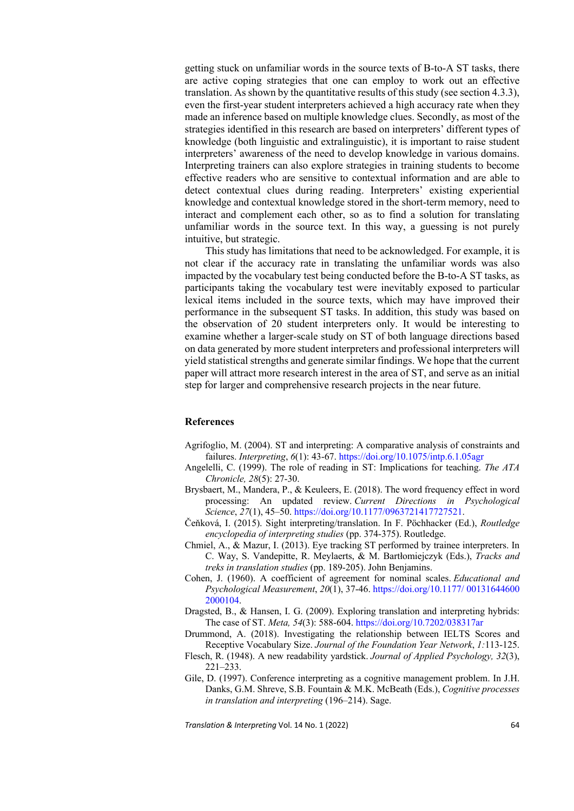getting stuck on unfamiliar words in the source texts of B-to-A ST tasks, there are active coping strategies that one can employ to work out an effective translation. As shown by the quantitative results of this study (see section 4.3.3), even the first-year student interpreters achieved a high accuracy rate when they made an inference based on multiple knowledge clues. Secondly, as most of the strategies identified in this research are based on interpreters' different types of knowledge (both linguistic and extralinguistic), it is important to raise student interpreters' awareness of the need to develop knowledge in various domains. Interpreting trainers can also explore strategies in training students to become effective readers who are sensitive to contextual information and are able to detect contextual clues during reading. Interpreters' existing experiential knowledge and contextual knowledge stored in the short-term memory, need to interact and complement each other, so as to find a solution for translating unfamiliar words in the source text. In this way, a guessing is not purely intuitive, but strategic.

This study has limitations that need to be acknowledged. For example, it is not clear if the accuracy rate in translating the unfamiliar words was also impacted by the vocabulary test being conducted before the B-to-A ST tasks, as participants taking the vocabulary test were inevitably exposed to particular lexical items included in the source texts, which may have improved their performance in the subsequent ST tasks. In addition, this study was based on the observation of 20 student interpreters only. It would be interesting to examine whether a larger-scale study on ST of both language directions based on data generated by more student interpreters and professional interpreters will yield statistical strengths and generate similar findings. We hope that the current paper will attract more research interest in the area of ST, and serve as an initial step for larger and comprehensive research projects in the near future.

## **References**

- Agrifoglio, M. (2004). ST and interpreting: A comparative analysis of constraints and failures. *Interpreting*, *6*(1): 43-67. https://doi.org/10.1075/intp.6.1.05agr
- Angelelli, C. (1999). The role of reading in ST: Implications for teaching. *The ATA Chronicle, 28*(5): 27-30.
- Brysbaert, M., Mandera, P., & Keuleers, E. (2018). The word frequency effect in word processing: An updated review. *Current Directions in Psychological Science*, *27*(1), 45–50. https://doi.org/10.1177/0963721417727521.
- Čeňková, I. (2015). Sight interpreting/translation. In F. Pöchhacker (Ed.), *Routledge encyclopedia of interpreting studies* (pp. 374-375). Routledge.
- Chmiel, A., & Mazur, I. (2013). Eye tracking ST performed by trainee interpreters. In C. Way, S. Vandepitte, R. Meylaerts, & M. Bartłomiejczyk (Eds.), *Tracks and treks in translation studies* (pp. 189-205). John Benjamins.
- Cohen, J. (1960). A coefficient of agreement for nominal scales. *Educational and Psychological Measurement*, *20*(1), 37-46. https://doi.org/10.1177/ 00131644600 2000104.
- Dragsted, B., & Hansen, I. G. (2009). Exploring translation and interpreting hybrids: The case of ST. *Meta, 54*(3): 588-604. https://doi.org/10.7202/038317ar
- Drummond, A. (2018). Investigating the relationship between IELTS Scores and Receptive Vocabulary Size. *Journal of the Foundation Year Network*, *1:*113-125.
- Flesch, R. (1948). A new readability yardstick. *Journal of Applied Psychology, 32*(3), 221–233.
- Gile, D. (1997). Conference interpreting as a cognitive management problem. In J.H. Danks, G.M. Shreve, S.B. Fountain & M.K. McBeath (Eds.), *Cognitive processes in translation and interpreting* (196–214). Sage.